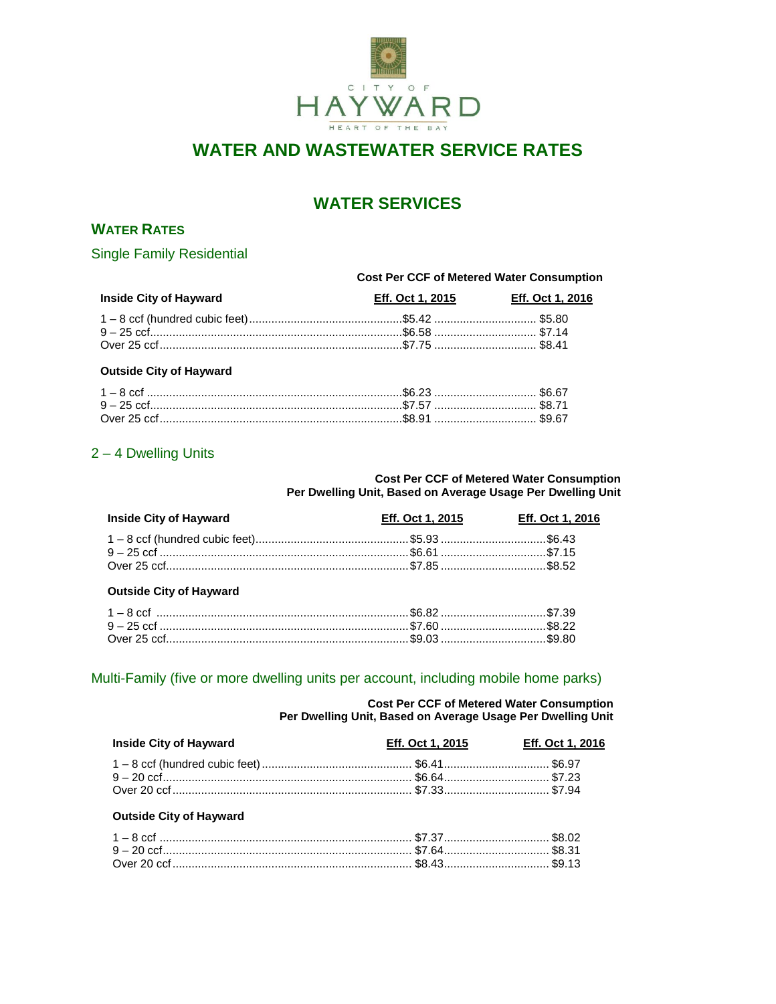

# **WATER AND WASTEWATER SERVICE RATES**

# **WATER SERVICES**

## **WATER RATES**

**Single Family Residential** 

#### **Cost Per CCF of Metered Water Consumption**

| <b>Inside City of Hayward</b> | Eff. Oct 1, 2015 | <b>Eff. Oct 1, 2016</b> |
|-------------------------------|------------------|-------------------------|
|                               |                  |                         |
|                               |                  |                         |
|                               |                  |                         |

#### **Outside City of Hayward**

## 2 - 4 Dwelling Units

**Cost Per CCF of Metered Water Consumption** Per Dwelling Unit, Based on Average Usage Per Dwelling Unit

| <b>Inside City of Hayward</b> | Eff. Oct 1, 2015 | <b>Eff. Oct 1, 2016</b> |
|-------------------------------|------------------|-------------------------|
|                               |                  |                         |
|                               |                  |                         |
|                               |                  |                         |

#### **Outside City of Hayward**

## Multi-Family (five or more dwelling units per account, including mobile home parks)

**Cost Per CCF of Metered Water Consumption** Per Dwelling Unit, Based on Average Usage Per Dwelling Unit

| <b>Inside City of Hayward</b> | Eff. Oct 1, 2015 | <b>Eff. Oct 1, 2016</b> |
|-------------------------------|------------------|-------------------------|
|                               |                  |                         |
|                               |                  |                         |
|                               |                  |                         |

#### **Outside City of Hayward**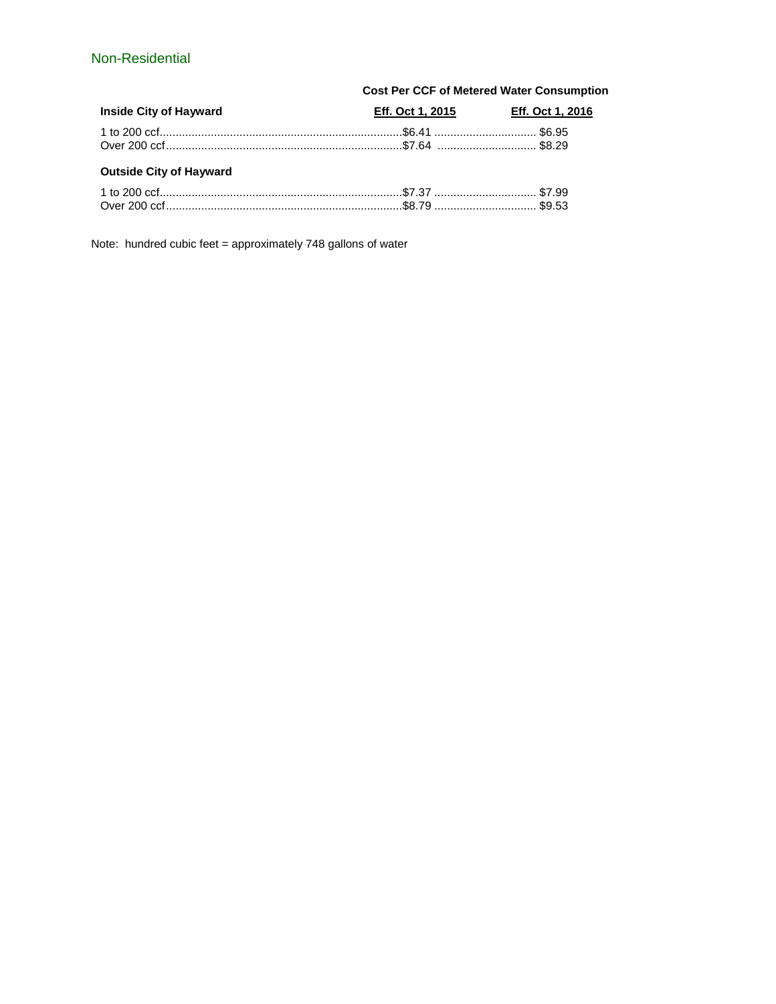## Non-Residential

|                                | <b>Cost Per CCF of Metered Water Consumption</b> |                                          |  |
|--------------------------------|--------------------------------------------------|------------------------------------------|--|
| <b>Inside City of Hayward</b>  |                                                  | <b>Eff. Oct 1, 2015 Eff. Oct 1, 2016</b> |  |
|                                |                                                  |                                          |  |
|                                |                                                  |                                          |  |
| <b>Outside City of Hayward</b> |                                                  |                                          |  |
|                                |                                                  |                                          |  |
|                                |                                                  |                                          |  |

Note: hundred cubic feet = approximately 748 gallons of water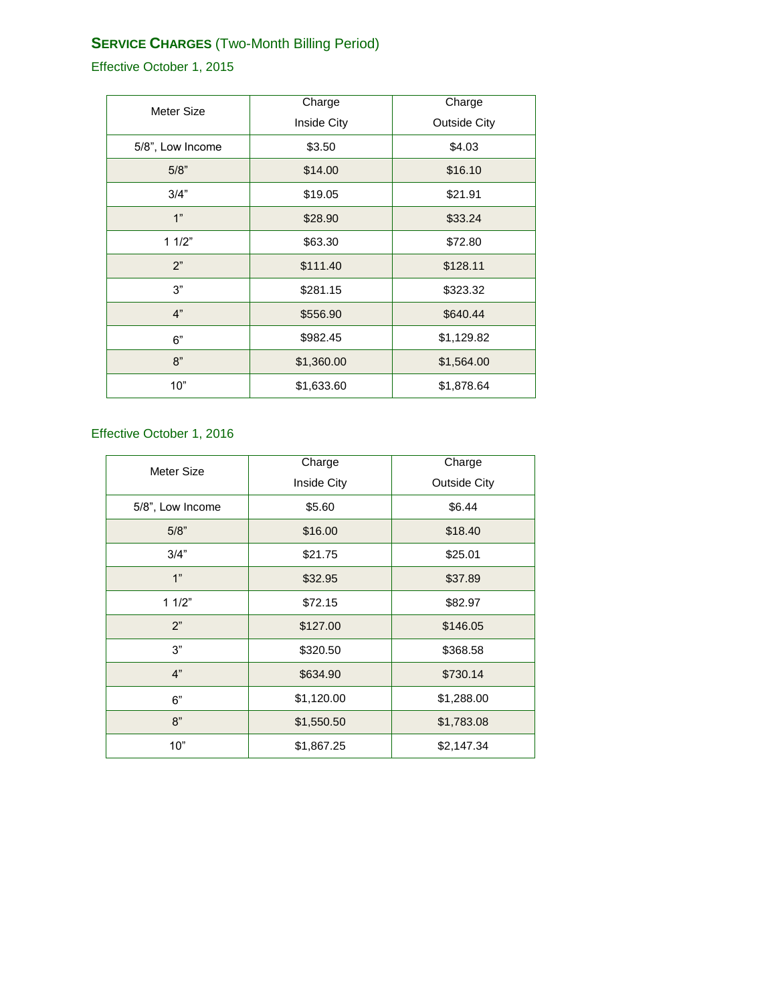## **SERVICE CHARGES** (Two-Month Billing Period)

Effective October 1, 2015

| Meter Size       | Charge      | Charge              |
|------------------|-------------|---------------------|
|                  | Inside City | <b>Outside City</b> |
| 5/8", Low Income | \$3.50      | \$4.03              |
| 5/8"             | \$14.00     | \$16.10             |
| 3/4"             | \$19.05     | \$21.91             |
| 1"               | \$28.90     | \$33.24             |
| 11/2"            | \$63.30     | \$72.80             |
| 2"               | \$111.40    | \$128.11            |
| 3"               | \$281.15    | \$323.32            |
| 4"               | \$556.90    | \$640.44            |
| 6"               | \$982.45    | \$1,129.82          |
| 8"               | \$1,360.00  | \$1,564.00          |
| 10"              | \$1,633.60  | \$1,878.64          |

## Effective October 1, 2016

| Meter Size       | Charge      | Charge              |
|------------------|-------------|---------------------|
|                  | Inside City | <b>Outside City</b> |
| 5/8", Low Income | \$5.60      | \$6.44              |
| 5/8"             | \$16.00     | \$18.40             |
| 3/4"             | \$21.75     | \$25.01             |
| 1"               | \$32.95     | \$37.89             |
| 11/2"            | \$72.15     | \$82.97             |
| 2"               | \$127.00    | \$146.05            |
| 3"               | \$320.50    | \$368.58            |
| 4"               | \$634.90    | \$730.14            |
| 6"               | \$1,120.00  | \$1,288.00          |
| 8"               | \$1,550.50  | \$1,783.08          |
| 10"              | \$1,867.25  | \$2,147.34          |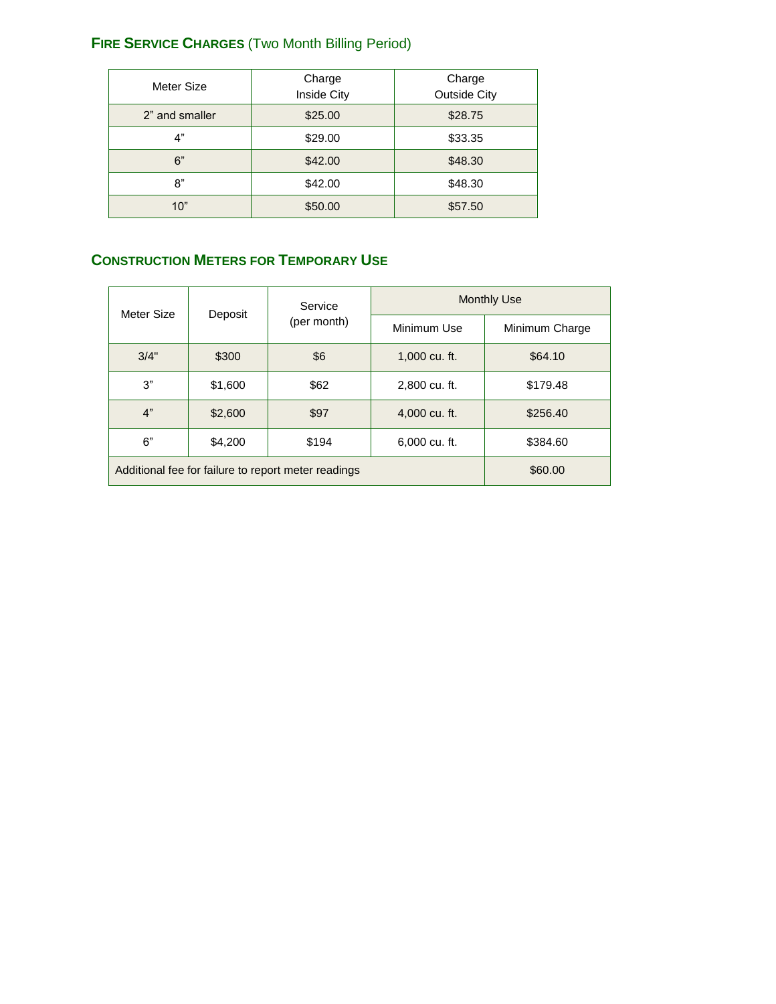# **FIRE SERVICE CHARGES** (Two Month Billing Period)

| Meter Size     | Charge<br>Inside City | Charge<br><b>Outside City</b> |
|----------------|-----------------------|-------------------------------|
| 2" and smaller | \$25.00               | \$28.75                       |
| 4"             | \$29.00               | \$33.35                       |
| 6"             | \$42.00               | \$48.30                       |
| 8"             | \$42.00               | \$48.30                       |
| 10"            | \$50.00               | \$57.50                       |

# **CONSTRUCTION METERS FOR TEMPORARY USE**

| Meter Size                                          | Deposit | Service<br>(per month) |               | <b>Monthly Use</b> |
|-----------------------------------------------------|---------|------------------------|---------------|--------------------|
|                                                     |         |                        | Minimum Use   | Minimum Charge     |
| 3/4"                                                | \$300   | \$6                    | 1,000 cu. ft. | \$64.10            |
| 3"                                                  | \$1,600 | \$62                   | 2,800 cu. ft. | \$179.48           |
| 4"                                                  | \$2,600 | \$97                   | 4,000 cu. ft. | \$256.40           |
| 6"                                                  | \$4,200 | \$194                  | 6,000 cu. ft. | \$384.60           |
| Additional fee for failure to report meter readings |         |                        | \$60.00       |                    |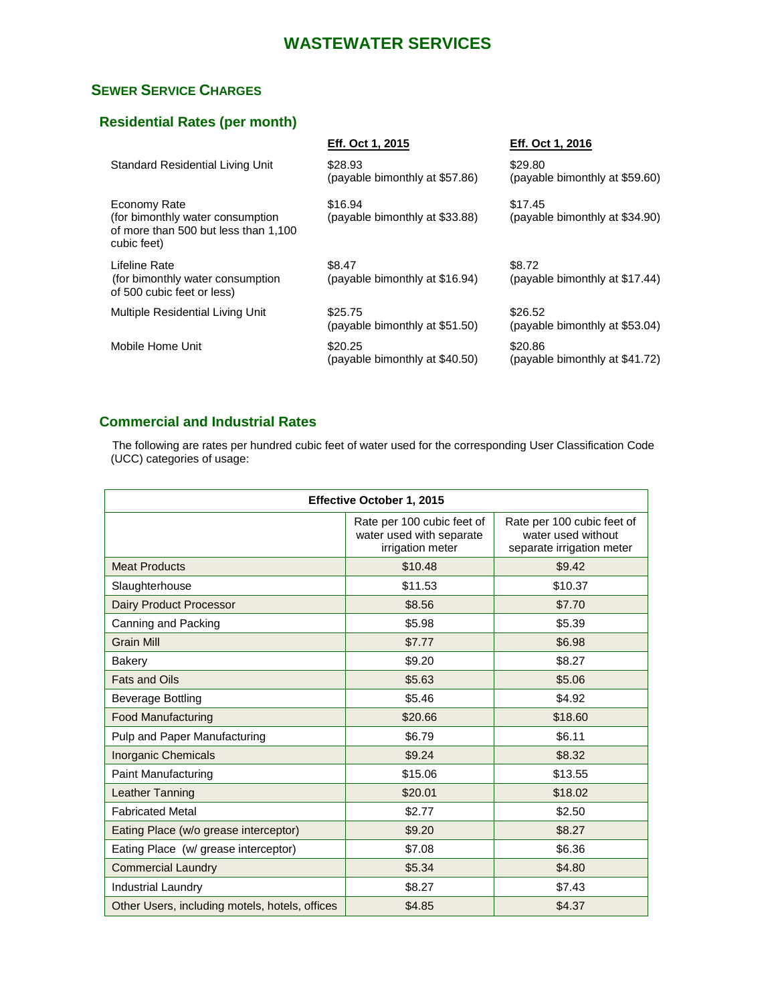# **WASTEWATER SERVICES**

## **SEWER SERVICE CHARGES**

## **Residential Rates (per month)**

| Eff. Oct 1, 2015 | Eff. Oct 1, 2016 |
|------------------|------------------|
|------------------|------------------|

| Standard Residential Living Unit                                                                         | \$28.93<br>(payable bimonthly at \$57.86) | \$29.80<br>(payable bimonthly at \$59.60) |
|----------------------------------------------------------------------------------------------------------|-------------------------------------------|-------------------------------------------|
| Economy Rate<br>(for bimonthly water consumption)<br>of more than 500 but less than 1,100<br>cubic feet) | \$16.94<br>(payable bimonthly at \$33.88) | \$17.45<br>(payable bimonthly at \$34.90) |
| Lifeline Rate<br>(for bimonthly water consumption)<br>of 500 cubic feet or less)                         | \$8.47<br>(payable bimonthly at \$16.94)  | \$8.72<br>(payable bimonthly at \$17.44)  |
| Multiple Residential Living Unit                                                                         | \$25.75<br>(payable bimonthly at \$51.50) | \$26.52<br>(payable bimonthly at \$53.04) |
| Mobile Home Unit                                                                                         | \$20.25<br>(payable bimonthly at \$40.50) | \$20.86<br>(payable bimonthly at \$41.72) |

## **Commercial and Industrial Rates**

 The following are rates per hundred cubic feet of water used for the corresponding User Classification Code (UCC) categories of usage:

| Effective October 1, 2015                      |                                                                            |                                                                               |
|------------------------------------------------|----------------------------------------------------------------------------|-------------------------------------------------------------------------------|
|                                                | Rate per 100 cubic feet of<br>water used with separate<br>irrigation meter | Rate per 100 cubic feet of<br>water used without<br>separate irrigation meter |
| <b>Meat Products</b>                           | \$10.48                                                                    | \$9.42                                                                        |
| Slaughterhouse                                 | \$11.53                                                                    | \$10.37                                                                       |
| Dairy Product Processor                        | \$8.56                                                                     | \$7.70                                                                        |
| Canning and Packing                            | \$5.98                                                                     | \$5.39                                                                        |
| <b>Grain Mill</b>                              | \$7.77                                                                     | \$6.98                                                                        |
| Bakery                                         | \$9.20                                                                     | \$8.27                                                                        |
| <b>Fats and Oils</b>                           | \$5.63                                                                     | \$5.06                                                                        |
| <b>Beverage Bottling</b>                       | \$5.46                                                                     | \$4.92                                                                        |
| <b>Food Manufacturing</b>                      | \$20.66                                                                    | \$18.60                                                                       |
| Pulp and Paper Manufacturing                   | \$6.79                                                                     | \$6.11                                                                        |
| <b>Inorganic Chemicals</b>                     | \$9.24                                                                     | \$8.32                                                                        |
| Paint Manufacturing                            | \$15.06                                                                    | \$13.55                                                                       |
| Leather Tanning                                | \$20.01                                                                    | \$18.02                                                                       |
| <b>Fabricated Metal</b>                        | \$2.77                                                                     | \$2.50                                                                        |
| Eating Place (w/o grease interceptor)          | \$9.20                                                                     | \$8.27                                                                        |
| Eating Place (w/ grease interceptor)           | \$7.08                                                                     | \$6.36                                                                        |
| <b>Commercial Laundry</b>                      | \$5.34                                                                     | \$4.80                                                                        |
| <b>Industrial Laundry</b>                      | \$8.27                                                                     | \$7.43                                                                        |
| Other Users, including motels, hotels, offices | \$4.85                                                                     | \$4.37                                                                        |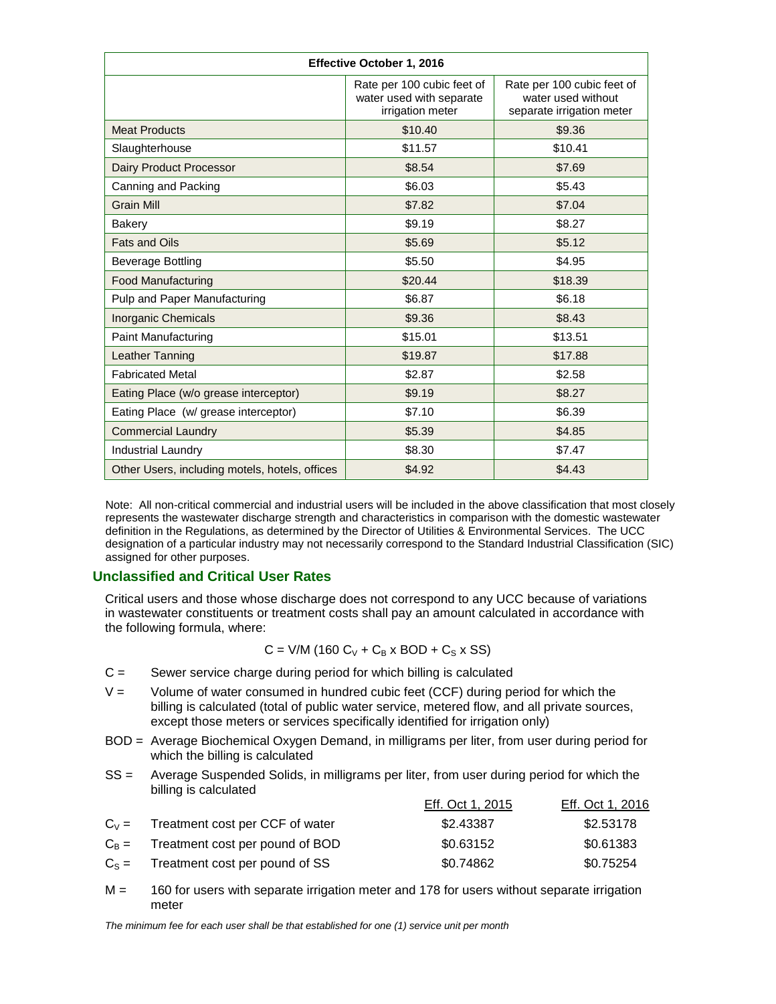| Effective October 1, 2016                      |                                                                            |                                                                               |
|------------------------------------------------|----------------------------------------------------------------------------|-------------------------------------------------------------------------------|
|                                                | Rate per 100 cubic feet of<br>water used with separate<br>irrigation meter | Rate per 100 cubic feet of<br>water used without<br>separate irrigation meter |
| <b>Meat Products</b>                           | \$10.40                                                                    | \$9.36                                                                        |
| Slaughterhouse                                 | \$11.57                                                                    | \$10.41                                                                       |
| Dairy Product Processor                        | \$8.54                                                                     | \$7.69                                                                        |
| Canning and Packing                            | \$6.03                                                                     | \$5.43                                                                        |
| <b>Grain Mill</b>                              | \$7.82                                                                     | \$7.04                                                                        |
| <b>Bakery</b>                                  | \$9.19                                                                     | \$8.27                                                                        |
| <b>Fats and Oils</b>                           | \$5.69                                                                     | \$5.12                                                                        |
| <b>Beverage Bottling</b>                       | \$5.50                                                                     | \$4.95                                                                        |
| <b>Food Manufacturing</b>                      | \$20.44                                                                    | \$18.39                                                                       |
| Pulp and Paper Manufacturing                   | \$6.87                                                                     | \$6.18                                                                        |
| Inorganic Chemicals                            | \$9.36                                                                     | \$8.43                                                                        |
| <b>Paint Manufacturing</b>                     | \$15.01                                                                    | \$13.51                                                                       |
| Leather Tanning                                | \$19.87                                                                    | \$17.88                                                                       |
| <b>Fabricated Metal</b>                        | \$2.87                                                                     | \$2.58                                                                        |
| Eating Place (w/o grease interceptor)          | \$9.19                                                                     | \$8.27                                                                        |
| Eating Place (w/ grease interceptor)           | \$7.10                                                                     | \$6.39                                                                        |
| <b>Commercial Laundry</b>                      | \$5.39                                                                     | \$4.85                                                                        |
| <b>Industrial Laundry</b>                      | \$8.30                                                                     | \$7.47                                                                        |
| Other Users, including motels, hotels, offices | \$4.92                                                                     | \$4.43                                                                        |

Note: All non-critical commercial and industrial users will be included in the above classification that most closely represents the wastewater discharge strength and characteristics in comparison with the domestic wastewater definition in the Regulations, as determined by the Director of Utilities & Environmental Services. The UCC designation of a particular industry may not necessarily correspond to the Standard Industrial Classification (SIC) assigned for other purposes.

#### **Unclassified and Critical User Rates**

Critical users and those whose discharge does not correspond to any UCC because of variations in wastewater constituents or treatment costs shall pay an amount calculated in accordance with the following formula, where:

$$
C = V/M (160 C_V + C_B x BOD + C_S x SS)
$$

- $C =$  Sewer service charge during period for which billing is calculated
- $V =$  Volume of water consumed in hundred cubic feet (CCF) during period for which the billing is calculated (total of public water service, metered flow, and all private sources, except those meters or services specifically identified for irrigation only)
- BOD = Average Biochemical Oxygen Demand, in milligrams per liter, from user during period for which the billing is calculated
- SS = Average Suspended Solids, in milligrams per liter, from user during period for which the billing is calculated

|                                         | Eff. Oct 1, 2015 | Eff. Oct 1, 2016 |
|-----------------------------------------|------------------|------------------|
| $C_V =$ Treatment cost per CCF of water | \$2.43387        | \$2.53178        |
| $C_B$ = Treatment cost per pound of BOD | \$0.63152        | \$0.61383        |
| $C_s$ = Treatment cost per pound of SS  | \$0.74862        | \$0.75254        |

 $M = 160$  for users with separate irrigation meter and 178 for users without separate irrigation meter

*The minimum fee for each user shall be that established for one (1) service unit per month*